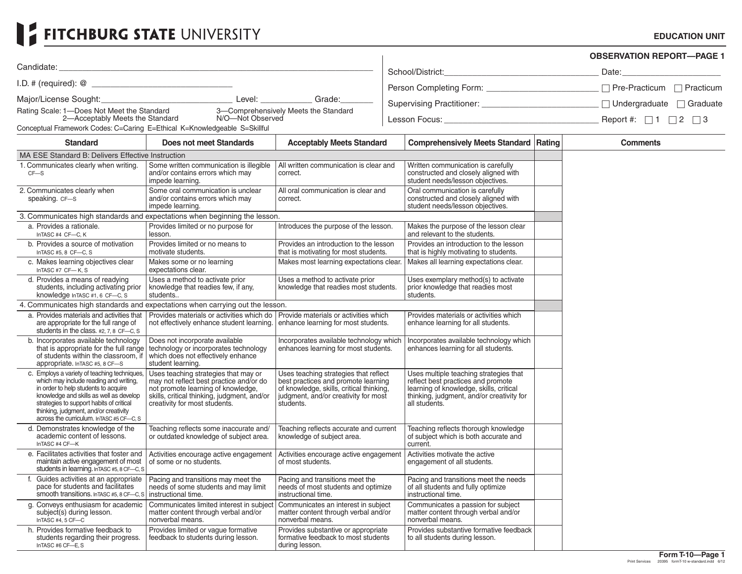## FITCHBURG STATE UNIVERSITY

## **EDUCATION UNIT**

|                                                                                                                                                                                                                                                                                                             |                                                                                                                                                                                                       |                                                                                                                                                                               |                                                                                                                                                                                       |  | <b>OBSERVATION REPORT-PAGE 1</b> |
|-------------------------------------------------------------------------------------------------------------------------------------------------------------------------------------------------------------------------------------------------------------------------------------------------------------|-------------------------------------------------------------------------------------------------------------------------------------------------------------------------------------------------------|-------------------------------------------------------------------------------------------------------------------------------------------------------------------------------|---------------------------------------------------------------------------------------------------------------------------------------------------------------------------------------|--|----------------------------------|
| Candidate:                                                                                                                                                                                                                                                                                                  |                                                                                                                                                                                                       |                                                                                                                                                                               | School/District:                                                                                                                                                                      |  |                                  |
|                                                                                                                                                                                                                                                                                                             |                                                                                                                                                                                                       |                                                                                                                                                                               |                                                                                                                                                                                       |  |                                  |
|                                                                                                                                                                                                                                                                                                             |                                                                                                                                                                                                       | Grade:                                                                                                                                                                        |                                                                                                                                                                                       |  |                                  |
| Rating Scale: 1—Does Not Meet the Standard 3—Comprehensively Meets the Standard<br>2—Acceptably Meets the Standard N/O—Not Observed                                                                                                                                                                         |                                                                                                                                                                                                       |                                                                                                                                                                               |                                                                                                                                                                                       |  |                                  |
| Conceptual Framework Codes: C=Caring E=Ethical K=Knowledgeable S=Skillful                                                                                                                                                                                                                                   |                                                                                                                                                                                                       |                                                                                                                                                                               |                                                                                                                                                                                       |  |                                  |
| <b>Standard</b>                                                                                                                                                                                                                                                                                             | Does not meet Standards                                                                                                                                                                               | <b>Acceptably Meets Standard</b>                                                                                                                                              | <b>Comprehensively Meets Standard Rating</b>                                                                                                                                          |  | <b>Comments</b>                  |
| MA ESE Standard B: Delivers Effective Instruction                                                                                                                                                                                                                                                           |                                                                                                                                                                                                       |                                                                                                                                                                               |                                                                                                                                                                                       |  |                                  |
| 1. Communicates clearly when writing.<br>$CF-S$                                                                                                                                                                                                                                                             | Some written communication is illegible<br>and/or contains errors which may<br>impede learning.                                                                                                       | All written communication is clear and<br>correct.                                                                                                                            | Written communication is carefully<br>constructed and closely aligned with<br>student needs/lesson objectives.                                                                        |  |                                  |
| 2. Communicates clearly when<br>speaking. CF-S                                                                                                                                                                                                                                                              | Some oral communication is unclear<br>and/or contains errors which may<br>impede learning.                                                                                                            | All oral communication is clear and<br>correct.                                                                                                                               | Oral communication is carefully<br>constructed and closely aligned with<br>student needs/lesson objectives.                                                                           |  |                                  |
|                                                                                                                                                                                                                                                                                                             | 3. Communicates high standards and expectations when beginning the lesson.                                                                                                                            |                                                                                                                                                                               |                                                                                                                                                                                       |  |                                  |
| a. Provides a rationale.<br>InTASC #4 CF-C, K                                                                                                                                                                                                                                                               | Provides limited or no purpose for<br>lesson.                                                                                                                                                         | Introduces the purpose of the lesson.                                                                                                                                         | Makes the purpose of the lesson clear<br>and relevant to the students.                                                                                                                |  |                                  |
| b. Provides a source of motivation<br>InTASC #5, 8 CF-C, S                                                                                                                                                                                                                                                  | Provides limited or no means to<br>motivate students.                                                                                                                                                 | Provides an introduction to the lesson<br>that is motivating for most students.                                                                                               | Provides an introduction to the lesson<br>that is highly motivating to students.                                                                                                      |  |                                  |
| c. Makes learning objectives clear<br>InTASC #7 CF-K, S                                                                                                                                                                                                                                                     | Makes some or no learning<br>expectations clear.                                                                                                                                                      | Makes most learning expectations clear.                                                                                                                                       | Makes all learning expectations clear.                                                                                                                                                |  |                                  |
| d. Provides a means of readying<br>students, including activating prior<br>knowledge InTASC #1, 6 CF-C, S                                                                                                                                                                                                   | Uses a method to activate prior<br>knowledge that readies few, if any,<br>students                                                                                                                    | Uses a method to activate prior<br>knowledge that readies most students.                                                                                                      | Uses exemplary method(s) to activate<br>prior knowledge that readies most<br>students.                                                                                                |  |                                  |
|                                                                                                                                                                                                                                                                                                             | 4. Communicates high standards and expectations when carrying out the lesson.                                                                                                                         |                                                                                                                                                                               |                                                                                                                                                                                       |  |                                  |
| a. Provides materials and activities that<br>are appropriate for the full range of<br>students in the class. #2, 7, 8 CF-C, S                                                                                                                                                                               | Provides materials or activities which do   Provide materials or activities which<br>not effectively enhance student learning. enhance learning for most students.                                    |                                                                                                                                                                               | Provides materials or activities which<br>enhance learning for all students.                                                                                                          |  |                                  |
| b. Incorporates available technology<br>that is appropriate for the full range<br>of students within the classroom, if<br>appropriate. In TASC #5, 8 CF-S                                                                                                                                                   | Does not incorporate available<br>technology or incorporates technology<br>which does not effectively enhance<br>student learning.                                                                    | Incorporates available technology which<br>enhances learning for most students.                                                                                               | Incorporates available technology which<br>enhances learning for all students.                                                                                                        |  |                                  |
| c. Employs a variety of teaching techniques,<br>which may include reading and writing,<br>in order to help students to acquire<br>knowledge and skills as well as develop<br>strategies to support habits of critical<br>thinking, judgment, and/or creativity<br>across the curriculum. In TASC #5 CF-C. S | Uses teaching strategies that may or<br>may not reflect best practice and/or do<br>not promote learning of knowledge,<br>skills, critical thinking, judgment, and/or<br>creativity for most students. | Uses teaching strategies that reflect<br>best practices and promote learning<br>of knowledge, skills, critical thinking,<br>judgment, and/or creativity for most<br>students. | Uses multiple teaching strategies that<br>reflect best practices and promote<br>learning of knowledge, skills, critical<br>thinking, judgment, and/or creativity for<br>all students. |  |                                  |
| d. Demonstrates knowledge of the<br>academic content of lessons.<br>InTASC #4 CF-K                                                                                                                                                                                                                          | Teaching reflects some inaccurate and/<br>or outdated knowledge of subject area.                                                                                                                      | Teaching reflects accurate and current<br>knowledge of subject area.                                                                                                          | Teaching reflects thorough knowledge<br>of subject which is both accurate and<br>current.                                                                                             |  |                                  |
| e. Facilitates activities that foster and<br>maintain active engagement of most<br>students in learning. In TASC #5, 8 CF-C, S                                                                                                                                                                              | Activities encourage active engagement<br>of some or no students.                                                                                                                                     | Activities encourage active engagement<br>of most students.                                                                                                                   | Activities motivate the active<br>engagement of all students.                                                                                                                         |  |                                  |
| f. Guides activities at an appropriate<br>pace for students and facilitates<br>smooth transitions. In TASC #5, 8 CF-C, S instructional time.                                                                                                                                                                | Pacing and transitions may meet the<br>needs of some students and may limit                                                                                                                           | Pacing and transitions meet the<br>needs of most students and optimize<br>instructional time.                                                                                 | Pacing and transitions meet the needs<br>of all students and fully optimize<br>instructional time.                                                                                    |  |                                  |
| g. Conveys enthusiasm for academic<br>subject(s) during lesson.<br>InTASC #4, 5 CF-C                                                                                                                                                                                                                        | Communicates limited interest in subject<br>matter content through verbal and/or<br>nonverbal means.                                                                                                  | Communicates an interest in subject<br>matter content through verbal and/or<br>nonverbal means.                                                                               | Communicates a passion for subject<br>matter content through verbal and/or<br>nonverbal means.                                                                                        |  |                                  |
| h. Provides formative feedback to<br>students regarding their progress.<br>InTASC #6 CF-E.S                                                                                                                                                                                                                 | Provides limited or vague formative<br>feedback to students during lesson.                                                                                                                            | Provides substantive or appropriate<br>formative feedback to most students<br>during lesson.                                                                                  | Provides substantive formative feedback<br>to all students during lesson.                                                                                                             |  |                                  |